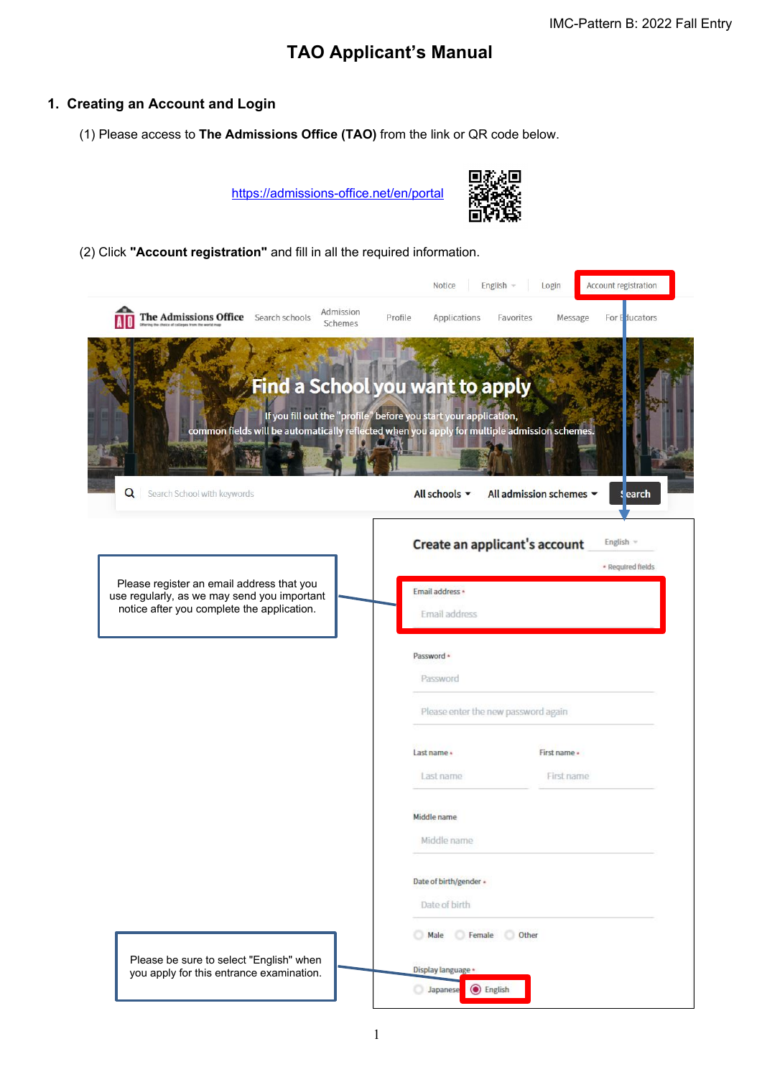# **TAO Applicant's Manual**

## **1. Creating an Account and Login**

(1) Please access to **The Admissions Office (TAO)** from the link or QR code below.

<https://admissions-office.net/en/portal>



(2) Click **"Account registration"** and fill in all the required information.

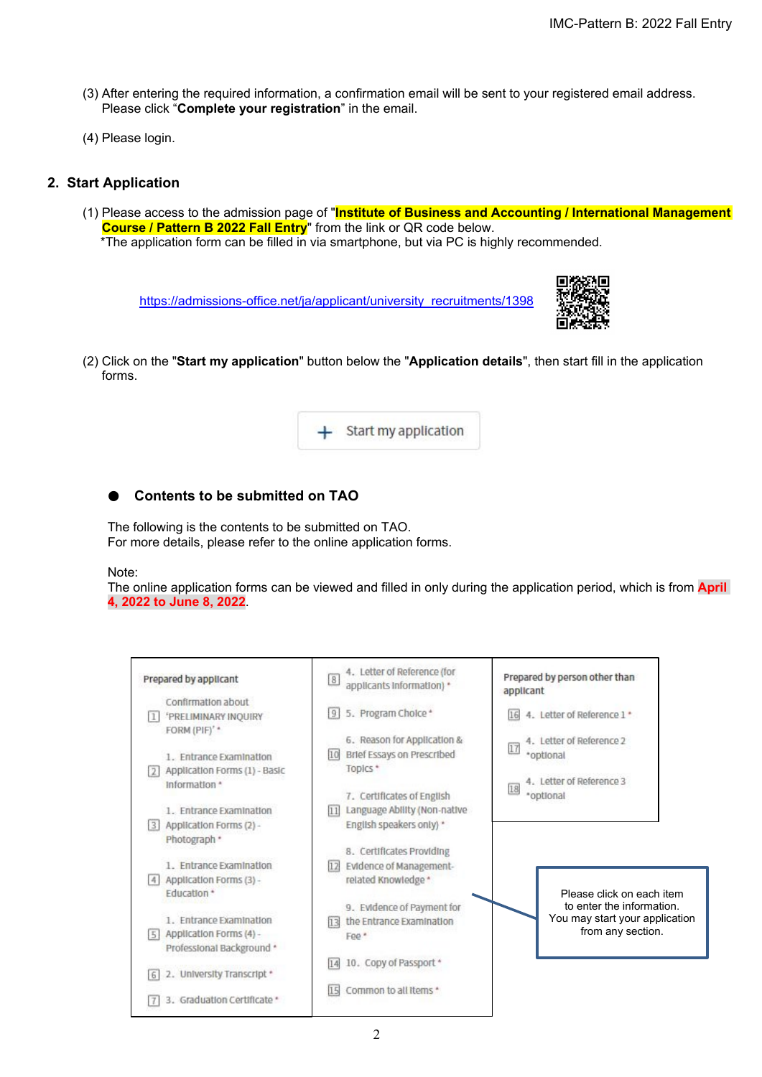- (3) After entering the required information, a confirmation email will be sent to your registered email address. Please click "**Complete your registration**" in the email.
- (4) Please login.

## **2. Start Application**

(1) Please access to the admission page of "**Institute of Business and Accounting / International Management Course / Pattern B 2022 Fall Entry**" from the link or QR code below. \*The application form can be filled in via smartphone, but via PC is highly recommended.

[https://admissions-office.net/ja/applicant/university\\_recruitments/1398](https://admissions-office.net/ja/applicant/university_recruitments/1398)



(2) Click on the "**Start my application**" button below the "**Application details**", then start fill in the application forms.



# ● **Contents to be submitted on TAO**

The following is the contents to be submitted on TAO. For more details, please refer to the online application forms.

#### Note:

The online application forms can be viewed and filled in only during the application period, which is from **April 4, 2022 to June 8, 2022**.

|        | Prepared by applicant                                                     | $\,$ 8                     | 4. Letter of Reference (for<br>applicants information) *                               | Prepared by person other than<br>applicant                              |                                                                                                               |
|--------|---------------------------------------------------------------------------|----------------------------|----------------------------------------------------------------------------------------|-------------------------------------------------------------------------|---------------------------------------------------------------------------------------------------------------|
| 11     | Confirmation about<br><b>'PRELIMINARY INQUIRY</b><br>FORM (PIF)' *        | 5. Program Choice *<br>9   |                                                                                        | 4. Letter of Reference 1 *<br>16                                        |                                                                                                               |
| 121    | 1. Entrance Examination<br>Application Forms (1) - Basic<br>Information * | 10<br>Topics *             | 6. Reason for Application &<br>Brief Essays on Prescribed                              | 4. Letter of Reference 2<br>17<br>*optional<br>4. Letter of Reference 3 |                                                                                                               |
| 3      | 1. Entrance Examination<br>Application Forms (2) -                        | 11                         | 7. Certificates of English<br>Language Ability (Non-native<br>English speakers only) * | 18<br>*ootional                                                         |                                                                                                               |
| 4      | Photograph *<br>1. Entrance Examination<br>Application Forms (3) -        | 12 <br>related Knowledge * | 8. Certificates Providing<br>Evidence of Management-                                   |                                                                         |                                                                                                               |
| 5      | <b>Education*</b><br>1. Entrance Examination<br>Application Forms (4) -   | 13                         | 9. Evidence of Payment for<br>the Entrance Examination                                 |                                                                         | Please click on each item<br>to enter the information.<br>You may start your application<br>from any section. |
| 6      | Professional Background *<br>2. University Transcript *                   | Fee.*<br>14                | 10. Copy of Passport *                                                                 |                                                                         |                                                                                                               |
| $\tau$ | 3. Graduation Certificate *                                               | Common to all items *      |                                                                                        |                                                                         |                                                                                                               |